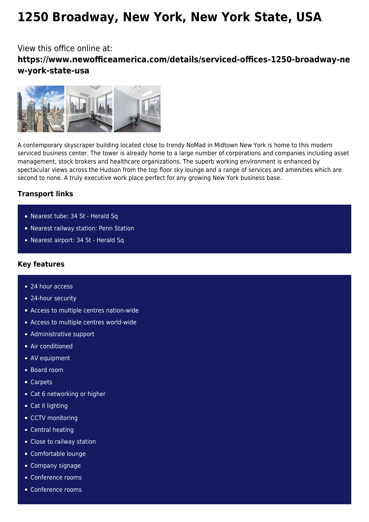# **1250 Broadway, New York, New York State, USA**

## View this office online at: **https://www.newofficeamerica.com/details/serviced-offices-1250-broadway-ne w-york-state-usa**



A contemporary skyscraper building located close to trendy NoMad in Midtown New York is home to this modern serviced business center. The tower is already home to a large number of corporations and companies including asset management, stock brokers and healthcare organizations. The superb working environment is enhanced by spectacular views across the Hudson from the top floor sky lounge and a range of services and amenities which are second to none. A truly executive work place perfect for any growing New York business base.

### **Transport links**

- Nearest tube: 34 St Herald Sq
- Nearest railway station: Penn Station
- Nearest airport: 34 St Herald Sq

#### **Key features**

- 24 hour access
- 24-hour security
- Access to multiple centres nation-wide
- **Access to multiple centres world-wide**
- **Administrative support**
- **Air conditioned**
- **AV** equipment
- Board room
- Carpets
- Cat 6 networking or higher
- **Cat II lighting**
- CCTV monitoring
- **Central heating**
- Close to railway station
- Comfortable lounge
- Company signage
- Conference rooms
- Conference rooms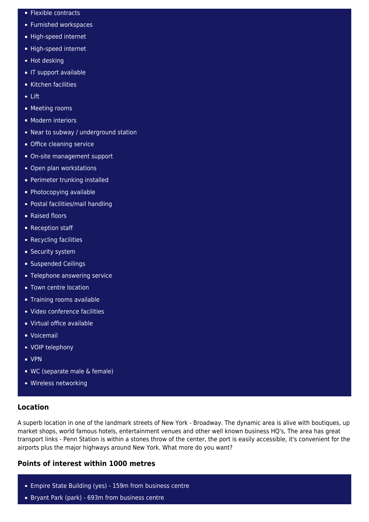- **Flexible contracts**
- **Furnished workspaces**
- High-speed internet
- High-speed internet
- **Hot desking**
- **IF support available**
- Kitchen facilities
- $-$  Lift
- **Meeting rooms**
- **Modern interiors**
- Near to subway / underground station
- **Office cleaning service**
- On-site management support
- Open plan workstations
- Perimeter trunking installed
- **Photocopying available**
- Postal facilities/mail handling
- Raised floors
- Reception staff
- **Recycling facilities**
- **Security system**
- **Suspended Ceilings**
- **Telephone answering service**
- **Town centre location**
- **Training rooms available**
- Video conference facilities
- Virtual office available
- Voicemail
- **vOIP** telephony
- VPN
- WC (separate male & female)
- **Wireless networking**

#### **Location**

A superb location in one of the landmark streets of New York - Broadway. The dynamic area is alive with boutiques, up market shops, world famous hotels, entertainment venues and other well known business HQ's, The area has great transport links - Penn Station is within a stones throw of the center, the port is easily accessible, it's convenient for the airports plus the major highways around New York. What more do you want?

#### **Points of interest within 1000 metres**

- **Empire State Building (yes) 159m from business centrent**
- Bryant Park (park) 693m from business centre